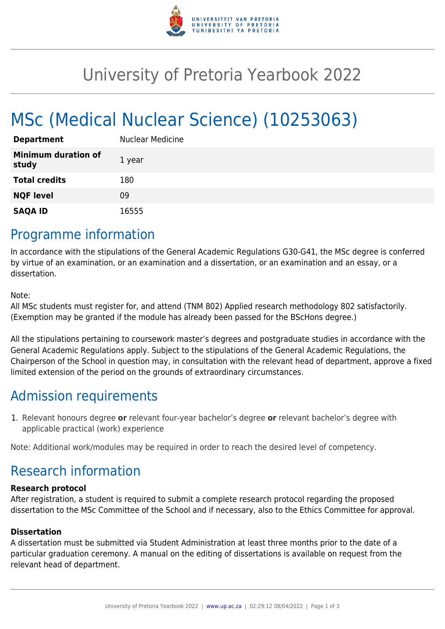

## University of Pretoria Yearbook 2022

# MSc (Medical Nuclear Science) (10253063)

| <b>Department</b>                   | <b>Nuclear Medicine</b> |
|-------------------------------------|-------------------------|
| <b>Minimum duration of</b><br>study | 1 year                  |
| <b>Total credits</b>                | 180                     |
| <b>NQF level</b>                    | 09                      |
| <b>SAQA ID</b>                      | 16555                   |

### Programme information

In accordance with the stipulations of the General Academic Regulations G30-G41, the MSc degree is conferred by virtue of an examination, or an examination and a dissertation, or an examination and an essay, or a dissertation.

Note:

All MSc students must register for, and attend (TNM 802) Applied research methodology 802 satisfactorily. (Exemption may be granted if the module has already been passed for the BScHons degree.)

All the stipulations pertaining to coursework master's degrees and postgraduate studies in accordance with the General Academic Regulations apply. Subject to the stipulations of the General Academic Regulations, the Chairperson of the School in question may, in consultation with the relevant head of department, approve a fixed limited extension of the period on the grounds of extraordinary circumstances.

### Admission requirements

1. Relevant honours degree **or** relevant four-year bachelor's degree **or** relevant bachelor's degree with applicable practical (work) experience

Note: Additional work/modules may be required in order to reach the desired level of competency.

### Research information

#### **Research protocol**

After registration, a student is required to submit a complete research protocol regarding the proposed dissertation to the MSc Committee of the School and if necessary, also to the Ethics Committee for approval.

#### **Dissertation**

A dissertation must be submitted via Student Administration at least three months prior to the date of a particular graduation ceremony. A manual on the editing of dissertations is available on request from the relevant head of department.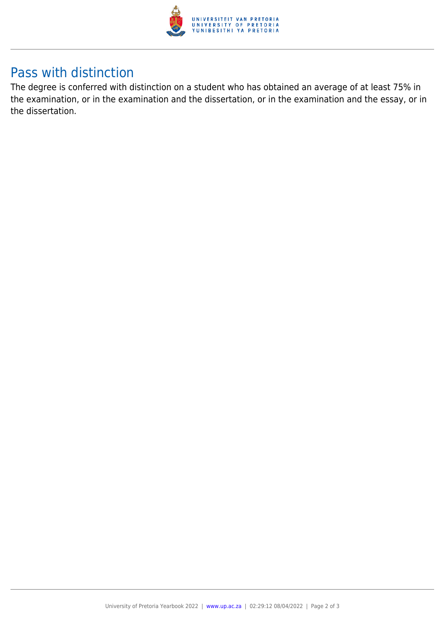

### Pass with distinction

The degree is conferred with distinction on a student who has obtained an average of at least 75% in the examination, or in the examination and the dissertation, or in the examination and the essay, or in the dissertation.